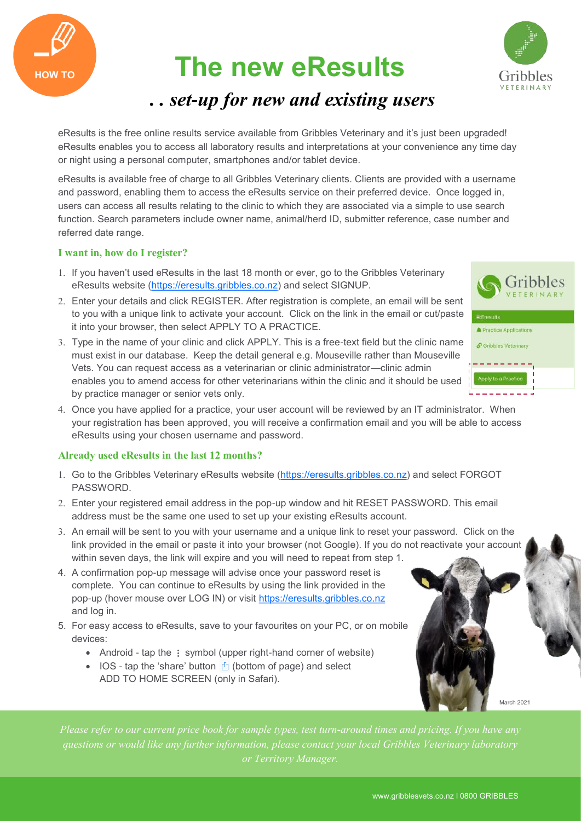



### *. . set-up for new and existing users*

eResults is the free online results service available from Gribbles Veterinary and it's just been upgraded! eResults enables you to access all laboratory results and interpretations at your convenience any time day or night using a personal computer, smartphones and/or tablet device.

eResults is available free of charge to all Gribbles Veterinary clients. Clients are provided with a username and password, enabling them to access the eResults service on their preferred device. Once logged in, users can access all results relating to the clinic to which they are associated via a simple to use search function. Search parameters include owner name, animal/herd ID, submitter reference, case number and referred date range.

#### **I want in, how do I register?**

**HOW TO**

- 1. If you haven't used eResults in the last 18 month or ever, go to the Gribbles Veterinary eResults website [\(https://eresults.gribbles.co.nz\)](https://eresults.gribbles.co.nz/) and select SIGNUP.
- Enter your details and click REGISTER. After registration is complete, an email will be sent to you with a unique link to activate your account. Click on the link in the email or cut/paste it into your browser, then select APPLY TO A PRACTICE.
- Type in the name of your clinic and click APPLY. This is a free-text field but the clinic name must exist in our database. Keep the detail general e.g. Mouseville rather than Mouseville Vets. You can request access as a veterinarian or clinic administrator—clinic admin enables you to amend access for other veterinarians within the clinic and it should be used by practice manager or senior vets only.
- 4. Once you have applied for a practice, your user account will be reviewed by an IT administrator. When your registration has been approved, you will receive a confirmation email and you will be able to access eResults using your chosen username and password.

#### **Already used eResults in the last 12 months?**

- 1. Go to the Gribbles Veterinary eResults website ([https://eresults.gribbles.co.nz\)](https://eresults.gribbles.co.nz/) and select FORGOT **PASSWORD.**
- Enter your registered email address in the pop-up window and hit RESET PASSWORD. This email address must be the same one used to set up your existing eResults account.
- An email will be sent to you with your username and a unique link to reset your password. Click on the link provided in the email or paste it into your browser (not Google). If you do not reactivate your account within seven days, the link will expire and you will need to repeat from step 1.
- 4. A confirmation pop-up message will advise once your password reset is complete. You can continue to eResults by using the link provided in the pop-up (hover mouse over LOG IN) or visit [https://eresults.gribbles.co.nz](https://eresults.gribbles.co.nz/)  and log in.
- 5. For easy access to eResults, save to your favourites on your PC, or on mobile devices:
	- Android tap the  $\vdots$  symbol (upper right-hand corner of website)
	- $\bullet$  IOS tap the 'share' button  $\uparrow$  (bottom of page) and select ADD TO HOME SCREEN (only in Safari).